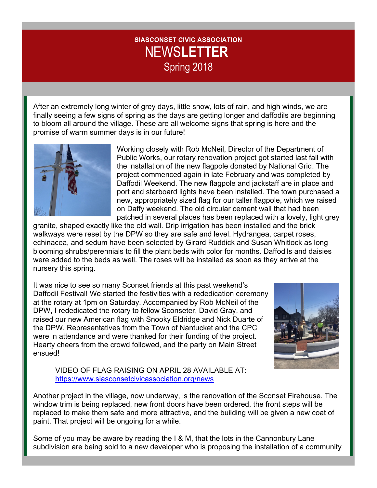## **SIASCONSET CIVIC ASSOCIATION** NEWS**LETTER** Spring 2018

After an extremely long winter of grey days, little snow, lots of rain, and high winds, we are finally seeing a few signs of spring as the days are getting longer and daffodils are beginning to bloom all around the village. These are all welcome signs that spring is here and the promise of warm summer days is in our future!



Working closely with Rob McNeil, Director of the Department of Public Works, our rotary renovation project got started last fall with the installation of the new flagpole donated by National Grid. The project commenced again in late February and was completed by Daffodil Weekend. The new flagpole and jackstaff are in place and port and starboard lights have been installed. The town purchased a new, appropriately sized flag for our taller flagpole, which we raised on Daffy weekend. The old circular cement wall that had been patched in several places has been replaced with a lovely, light grey

granite, shaped exactly like the old wall. Drip irrigation has been installed and the brick walkways were reset by the DPW so they are safe and level. Hydrangea, carpet roses, echinacea, and sedum have been selected by Girard Ruddick and Susan Whitlock as long blooming shrubs/perennials to fill the plant beds with color for months. Daffodils and daisies were added to the beds as well. The roses will be installed as soon as they arrive at the nursery this spring.

It was nice to see so many Sconset friends at this past weekend's Daffodil Festival! We started the festivities with a rededication ceremony at the rotary at 1pm on Saturday. Accompanied by Rob McNeil of the DPW, I rededicated the rotary to fellow Sconseter, David Gray, and raised our new American flag with Snooky Eldridge and Nick Duarte of the DPW. Representatives from the Town of Nantucket and the CPC were in attendance and were thanked for their funding of the project. Hearty cheers from the crowd followed, and the party on Main Street ensued!



VIDEO OF FLAG RAISING ON APRIL 28 AVAILABLE AT: https://www.siasconsetcivicassociation.org/news

Another project in the village, now underway, is the renovation of the Sconset Firehouse. The window trim is being replaced, new front doors have been ordered, the front steps will be replaced to make them safe and more attractive, and the building will be given a new coat of paint. That project will be ongoing for a while.

Some of you may be aware by reading the I & M, that the lots in the Cannonbury Lane subdivision are being sold to a new developer who is proposing the installation of a community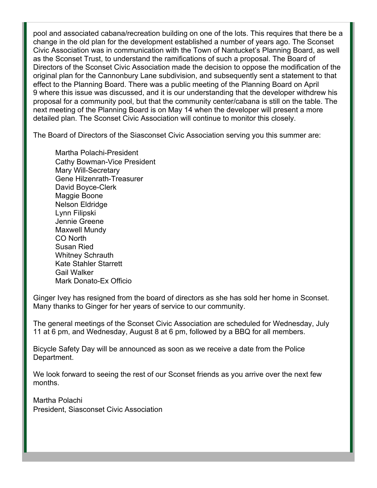pool and associated cabana/recreation building on one of the lots. This requires that there be a change in the old plan for the development established a number of years ago. The Sconset Civic Association was in communication with the Town of Nantucket's Planning Board, as well as the Sconset Trust, to understand the ramifications of such a proposal. The Board of Directors of the Sconset Civic Association made the decision to oppose the modification of the original plan for the Cannonbury Lane subdivision, and subsequently sent a statement to that effect to the Planning Board. There was a public meeting of the Planning Board on April 9 where this issue was discussed, and it is our understanding that the developer withdrew his proposal for a community pool, but that the community center/cabana is still on the table. The next meeting of the Planning Board is on May 14 when the developer will present a more detailed plan. The Sconset Civic Association will continue to monitor this closely.

The Board of Directors of the Siasconset Civic Association serving you this summer are:

Martha Polachi-President Cathy Bowman-Vice President Mary Will-Secretary Gene Hilzenrath-Treasurer David Boyce-Clerk Maggie Boone Nelson Eldridge Lynn Filipski Jennie Greene Maxwell Mundy CO North Susan Ried Whitney Schrauth Kate Stahler Starrett Gail Walker Mark Donato-Ex Officio

Ginger Ivey has resigned from the board of directors as she has sold her home in Sconset. Many thanks to Ginger for her years of service to our community.

The general meetings of the Sconset Civic Association are scheduled for Wednesday, July 11 at 6 pm, and Wednesday, August 8 at 6 pm, followed by a BBQ for all members.

Bicycle Safety Day will be announced as soon as we receive a date from the Police Department.

We look forward to seeing the rest of our Sconset friends as you arrive over the next few months.

Martha Polachi President, Siasconset Civic Association